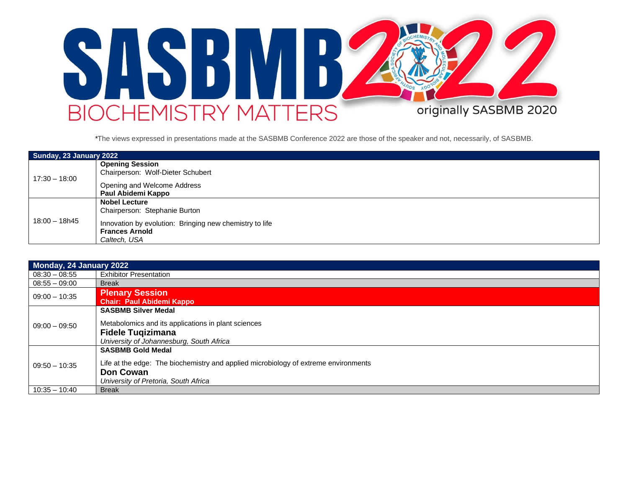

*\**The views expressed in presentations made at the SASBMB Conference 2022 are those of the speaker and not, necessarily, of SASBMB.

| Sunday, 23 January 2022 |                                                         |  |  |
|-------------------------|---------------------------------------------------------|--|--|
|                         | <b>Opening Session</b>                                  |  |  |
| 17:30 – 18:00           | Chairperson: Wolf-Dieter Schubert                       |  |  |
|                         | Opening and Welcome Address                             |  |  |
|                         | Paul Abidemi Kappo                                      |  |  |
|                         | <b>Nobel Lecture</b>                                    |  |  |
|                         | Chairperson: Stephanie Burton                           |  |  |
| $18:00 - 18h45$         | Innovation by evolution: Bringing new chemistry to life |  |  |
|                         | <b>Frances Arnold</b>                                   |  |  |
|                         | Caltech, USA                                            |  |  |

| Monday, 24 January 2022 |                                                                                     |  |  |
|-------------------------|-------------------------------------------------------------------------------------|--|--|
| $08:30 - 08:55$         | <b>Exhibitor Presentation</b>                                                       |  |  |
| $08:55 - 09:00$         | <b>Break</b>                                                                        |  |  |
| $09:00 - 10:35$         | <b>Plenary Session</b>                                                              |  |  |
|                         | <b>Chair: Paul Abidemi Kappo</b>                                                    |  |  |
|                         | <b>SASBMB Silver Medal</b>                                                          |  |  |
| $09:00 - 09:50$         | Metabolomics and its applications in plant sciences                                 |  |  |
|                         | <b>Fidele Tugizimana</b>                                                            |  |  |
|                         | University of Johannesburg, South Africa                                            |  |  |
|                         | <b>SASBMB Gold Medal</b>                                                            |  |  |
| $09:50 - 10:35$         | Life at the edge: The biochemistry and applied microbiology of extreme environments |  |  |
|                         | <b>Don Cowan</b>                                                                    |  |  |
|                         | University of Pretoria, South Africa                                                |  |  |
| $10:35 - 10:40$         | <b>Break</b>                                                                        |  |  |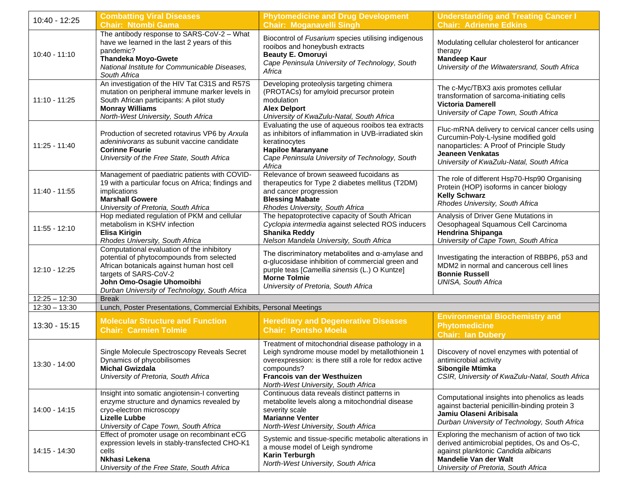| 10:40 - 12:25   | <b>Combatting Viral Diseases</b><br><b>Chair: Ntombi Gama</b>                                                                                                                                                                                | <b>Phytomedicine and Drug Development</b><br><b>Chair: Moganavelli Singh</b>                                                                                                                                                                       | <b>Understanding and Treating Cancer I</b><br><b>Chair: Adrienne Edkins</b>                                                                                                                                    |
|-----------------|----------------------------------------------------------------------------------------------------------------------------------------------------------------------------------------------------------------------------------------------|----------------------------------------------------------------------------------------------------------------------------------------------------------------------------------------------------------------------------------------------------|----------------------------------------------------------------------------------------------------------------------------------------------------------------------------------------------------------------|
| $10:40 - 11:10$ | The antibody response to SARS-CoV-2 - What<br>have we learned in the last 2 years of this<br>pandemic?<br><b>Thandeka Moyo-Gwete</b><br>National Institute for Communicable Diseases,<br>South Africa                                        | Biocontrol of Fusarium species utilising indigenous<br>rooibos and honeybush extracts<br><b>Beauty E. Omoruyi</b><br>Cape Peninsula University of Technology, South<br>Africa                                                                      | Modulating cellular cholesterol for anticancer<br>therapy<br><b>Mandeep Kaur</b><br>University of the Witwatersrand, South Africa                                                                              |
| $11:10 - 11:25$ | An investigation of the HIV Tat C31S and R57S<br>mutation on peripheral immune marker levels in<br>South African participants: A pilot study<br><b>Monray Williams</b><br>North-West University, South Africa                                | Developing proteolysis targeting chimera<br>(PROTACs) for amyloid precursor protein<br>modulation<br><b>Alex Delport</b><br>University of KwaZulu-Natal, South Africa                                                                              | The c-Myc/TBX3 axis promotes cellular<br>transformation of sarcoma-initiating cells<br><b>Victoria Damerell</b><br>University of Cape Town, South Africa                                                       |
| $11:25 - 11:40$ | Production of secreted rotavirus VP6 by Arxula<br>adeninivorans as subunit vaccine candidate<br><b>Corinne Fourie</b><br>University of the Free State, South Africa                                                                          | Evaluating the use of aqueous rooibos tea extracts<br>as inhibitors of inflammation in UVB-irradiated skin<br>keratinocytes<br><b>Hapiloe Maranyane</b><br>Cape Peninsula University of Technology, South<br>Africa                                | Fluc-mRNA delivery to cervical cancer cells using<br>Curcumin-Poly-L-lysine modified gold<br>nanoparticles: A Proof of Principle Study<br><b>Jeaneen Venkatas</b><br>University of KwaZulu-Natal, South Africa |
| 11:40 - 11:55   | Management of paediatric patients with COVID-<br>19 with a particular focus on Africa; findings and<br>implications<br><b>Marshall Gowere</b><br>University of Pretoria, South Africa                                                        | Relevance of brown seaweed fucoidans as<br>therapeutics for Type 2 diabetes mellitus (T2DM)<br>and cancer progression<br><b>Blessing Mabate</b><br>Rhodes University, South Africa                                                                 | The role of different Hsp70-Hsp90 Organising<br>Protein (HOP) isoforms in cancer biology<br><b>Kelly Schwarz</b><br>Rhodes University, South Africa                                                            |
| 11:55 - 12:10   | Hop mediated regulation of PKM and cellular<br>metabolism in KSHV infection<br><b>Elisa Kirigin</b><br>Rhodes University, South Africa                                                                                                       | The hepatoprotective capacity of South African<br>Cyclopia intermedia against selected ROS inducers<br><b>Shanika Reddy</b><br>Nelson Mandela University, South Africa                                                                             | Analysis of Driver Gene Mutations in<br>Oesophageal Squamous Cell Carcinoma<br>Hendrina Shipanga<br>University of Cape Town, South Africa                                                                      |
| 12:10 - 12:25   | Computational evaluation of the inhibitory<br>potential of phytocompounds from selected<br>African botanicals against human host cell<br>targets of SARS-CoV-2<br>John Omo-Osagie Uhomoibhi<br>Durban University of Technology, South Africa | The discriminatory metabolites and $\alpha$ -amylase and<br>a-glucosidase inhibition of commercial green and<br>purple teas [Camellia sinensis (L.) O Kuntze]<br><b>Morne Tolmie</b><br>University of Pretoria, South Africa                       | Investigating the interaction of RBBP6, p53 and<br>MDM2 in normal and cancerous cell lines<br><b>Bonnie Russell</b><br><b>UNISA, South Africa</b>                                                              |
| $12:25 - 12:30$ | <b>Break</b>                                                                                                                                                                                                                                 |                                                                                                                                                                                                                                                    |                                                                                                                                                                                                                |
| $12:30 - 13:30$ | Lunch, Poster Presentations, Commercial Exhibits, Personal Meetings                                                                                                                                                                          |                                                                                                                                                                                                                                                    |                                                                                                                                                                                                                |
| 13:30 - 15:15   | <b>Molecular Structure and Function</b><br><b>Chair: Carmien Tolmie</b>                                                                                                                                                                      | <b>Hereditary and Degenerative Diseases</b><br><b>Chair: Pontsho Moela</b>                                                                                                                                                                         | <b>Environmental Biochemistry and</b><br><b>Phytomedicine</b><br><b>Chair: Ian Dubery</b>                                                                                                                      |
| 13:30 - 14:00   | Single Molecule Spectroscopy Reveals Secret<br>Dynamics of phycobilisomes<br><b>Michal Gwizdala</b><br>University of Pretoria, South Africa                                                                                                  | Treatment of mitochondrial disease pathology in a<br>Leigh syndrome mouse model by metallothionein 1<br>overexpression: is there still a role for redox active<br>compounds?<br>Francois van der Westhuizen<br>North-West University, South Africa | Discovery of novel enzymes with potential of<br>antimicrobial activity<br>Sibongile Mtimka<br>CSIR, University of KwaZulu-Natal, South Africa                                                                  |
| 14:00 - 14:15   | Insight into somatic angiotensin-I converting<br>enzyme structure and dynamics revealed by<br>cryo-electron microscopy<br><b>Lizelle Lubbe</b><br>University of Cape Town, South Africa                                                      | Continuous data reveals distinct patterns in<br>metabolite levels along a mitochondrial disease<br>severity scale<br><b>Marianne Venter</b><br>North-West University, South Africa                                                                 | Computational insights into phenolics as leads<br>against bacterial penicillin-binding protein 3<br>Jamiu Olaseni Aribisala<br>Durban University of Technology, South Africa                                   |
| 14:15 - 14:30   | Effect of promoter usage on recombinant eCG<br>expression levels in stably-transfected CHO-K1<br>cells<br>Nkhasi Lekena<br>University of the Free State, South Africa                                                                        | Systemic and tissue-specific metabolic alterations in<br>a mouse model of Leigh syndrome<br><b>Karin Terburgh</b><br>North-West University, South Africa                                                                                           | Exploring the mechanism of action of two tick<br>derived antimicrobial peptides, Os and Os-C,<br>against planktonic Candida albicans<br><b>Mandelie Van der Walt</b><br>University of Pretoria, South Africa   |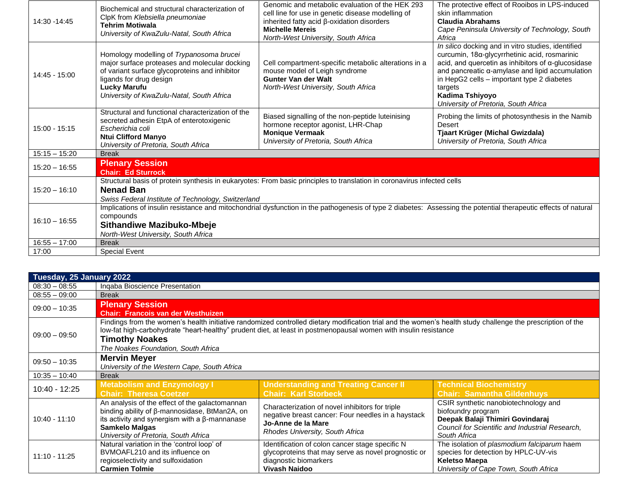| 14:30 - 14:45   | Biochemical and structural characterization of<br>ClpK from Klebsiella pneumoniae<br><b>Tehrim Motiwala</b><br>University of KwaZulu-Natal, South Africa                                                                                                | Genomic and metabolic evaluation of the HEK 293<br>cell line for use in genetic disease modelling of<br>inherited fatty acid $\beta$ -oxidation disorders<br><b>Michelle Mereis</b><br>North-West University, South Africa | The protective effect of Rooibos in LPS-induced<br>skin inflammation<br><b>Claudia Abrahams</b><br>Cape Peninsula University of Technology, South<br>Africa                                                                                                                                                                              |
|-----------------|---------------------------------------------------------------------------------------------------------------------------------------------------------------------------------------------------------------------------------------------------------|----------------------------------------------------------------------------------------------------------------------------------------------------------------------------------------------------------------------------|------------------------------------------------------------------------------------------------------------------------------------------------------------------------------------------------------------------------------------------------------------------------------------------------------------------------------------------|
| 14:45 - 15:00   | Homology modelling of Trypanosoma brucei<br>major surface proteases and molecular docking<br>of variant surface glycoproteins and inhibitor<br>ligands for drug design<br>Lucky Marufu<br>University of KwaZulu-Natal, South Africa                     | Cell compartment-specific metabolic alterations in a<br>mouse model of Leigh syndrome<br><b>Gunter Van der Walt</b><br>North-West University, South Africa                                                                 | In silico docking and in vitro studies, identified<br>curcumin, 18α-glycyrrhetinic acid, rosmarinic<br>acid, and quercetin as inhibitors of $\alpha$ -glucosidase<br>and pancreatic a-amylase and lipid accumulation<br>in HepG2 cells - important type 2 diabetes<br>targets<br>Kadima Tshiyoyo<br>University of Pretoria, South Africa |
| $15:00 - 15:15$ | Structural and functional characterization of the<br>secreted adhesin EtpA of enterotoxigenic<br>Escherichia coli<br><b>Ntui Clifford Manyo</b><br>University of Pretoria, South Africa                                                                 | Biased signalling of the non-peptide luteinising<br>hormone receptor agonist, LHR-Chap<br><b>Monique Vermaak</b><br>University of Pretoria, South Africa                                                                   | Probing the limits of photosynthesis in the Namib<br>Desert<br>Tjaart Krüger (Michal Gwizdala)<br>University of Pretoria, South Africa                                                                                                                                                                                                   |
| $15:15 - 15:20$ | <b>Break</b>                                                                                                                                                                                                                                            |                                                                                                                                                                                                                            |                                                                                                                                                                                                                                                                                                                                          |
| $15:20 - 16:55$ | <b>Plenary Session</b><br><b>Chair: Ed Sturrock</b>                                                                                                                                                                                                     |                                                                                                                                                                                                                            |                                                                                                                                                                                                                                                                                                                                          |
| $15:20 - 16:10$ | Structural basis of protein synthesis in eukaryotes: From basic principles to translation in coronavirus infected cells<br><b>Nenad Ban</b><br>Swiss Federal Institute of Technology, Switzerland                                                       |                                                                                                                                                                                                                            |                                                                                                                                                                                                                                                                                                                                          |
| $16:10 - 16:55$ | Implications of insulin resistance and mitochondrial dysfunction in the pathogenesis of type 2 diabetes: Assessing the potential therapeutic effects of natural<br>compounds<br><b>Sithandiwe Mazibuko-Mbeje</b><br>North-West University, South Africa |                                                                                                                                                                                                                            |                                                                                                                                                                                                                                                                                                                                          |
| $16:55 - 17:00$ | <b>Break</b>                                                                                                                                                                                                                                            |                                                                                                                                                                                                                            |                                                                                                                                                                                                                                                                                                                                          |
| 17:00           | <b>Special Event</b>                                                                                                                                                                                                                                    |                                                                                                                                                                                                                            |                                                                                                                                                                                                                                                                                                                                          |

| Tuesday, 25 January 2022 |                                                      |                                                                                                                                                             |                                                 |  |
|--------------------------|------------------------------------------------------|-------------------------------------------------------------------------------------------------------------------------------------------------------------|-------------------------------------------------|--|
| $08:30 - 08:55$          | Inqaba Bioscience Presentation                       |                                                                                                                                                             |                                                 |  |
| $08:55 - 09:00$          | <b>Break</b>                                         |                                                                                                                                                             |                                                 |  |
| $09:00 - 10:35$          | <b>Plenary Session</b>                               |                                                                                                                                                             |                                                 |  |
|                          | <b>Chair: Francois van der Westhuizen</b>            |                                                                                                                                                             |                                                 |  |
|                          |                                                      | Findings from the women's health initiative randomized controlled dietary modification trial and the women's health study challenge the prescription of the |                                                 |  |
| $09:00 - 09:50$          |                                                      | low-fat high-carbohydrate "heart-healthy" prudent diet, at least in postmenopausal women with insulin resistance                                            |                                                 |  |
|                          | <b>Timothy Noakes</b>                                |                                                                                                                                                             |                                                 |  |
|                          | The Noakes Foundation. South Africa                  |                                                                                                                                                             |                                                 |  |
|                          | <b>Mervin Meyer</b>                                  |                                                                                                                                                             |                                                 |  |
| $09:50 - 10:35$          | University of the Western Cape, South Africa         |                                                                                                                                                             |                                                 |  |
| $10:35 - 10:40$          | <b>Break</b>                                         |                                                                                                                                                             |                                                 |  |
| 10:40 - 12:25            | <b>Metabolism and Enzymology I</b>                   | <b>Understanding and Treating Cancer II</b>                                                                                                                 | <b>Technical Biochemistry</b>                   |  |
|                          | <b>Chair: Theresa Coetzer</b>                        | <b>Chair: Karl Storbeck</b>                                                                                                                                 | <b>Chair: Samantha Gildenhuys</b>               |  |
|                          | An analysis of the effect of the galactomannan       | Characterization of novel inhibitors for triple                                                                                                             | CSIR synthetic nanobiotechnology and            |  |
|                          | binding ability of β-mannosidase, BtMan2A, on        | negative breast cancer: Four needles in a haystack                                                                                                          | biofoundry program                              |  |
| $10:40 - 11:10$          | its activity and synergism with a $\beta$ -mannanase | Jo-Anne de la Mare                                                                                                                                          | Deepak Balaji Thimiri Govindaraj                |  |
|                          | <b>Samkelo Malgas</b>                                | Rhodes University, South Africa                                                                                                                             | Council for Scientific and Industrial Research, |  |
|                          | University of Pretoria, South Africa                 |                                                                                                                                                             | South Africa                                    |  |
| $11:10 - 11:25$          | Natural variation in the 'control loop' of           | Identification of colon cancer stage specific N                                                                                                             | The isolation of plasmodium falciparum haem     |  |
|                          | BVMOAFL210 and its influence on                      | glycoproteins that may serve as novel prognostic or                                                                                                         | species for detection by HPLC-UV-vis            |  |
|                          | regioselectivity and sulfoxidation                   | diagnostic biomarkers                                                                                                                                       | <b>Keletso Maepa</b>                            |  |
|                          | <b>Carmien Tolmie</b>                                | Vivash Naidoo                                                                                                                                               | University of Cape Town, South Africa           |  |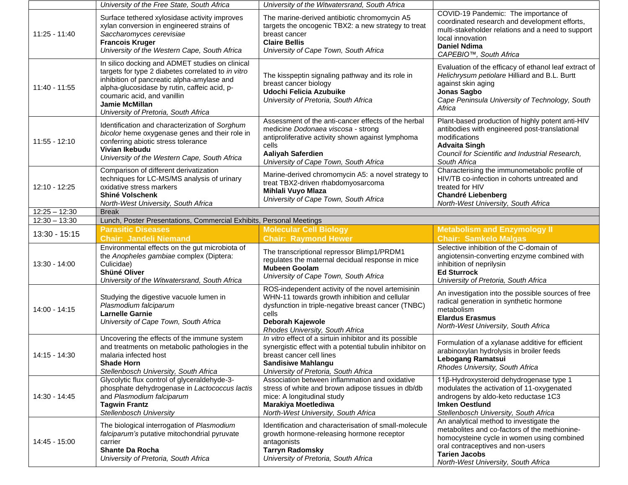|                 | University of the Free State, South Africa                                                                                                                                                                                                                                                          | University of the Witwatersrand, South Africa                                                                                                                                                                             |                                                                                                                                                                                                                                            |
|-----------------|-----------------------------------------------------------------------------------------------------------------------------------------------------------------------------------------------------------------------------------------------------------------------------------------------------|---------------------------------------------------------------------------------------------------------------------------------------------------------------------------------------------------------------------------|--------------------------------------------------------------------------------------------------------------------------------------------------------------------------------------------------------------------------------------------|
| 11:25 - 11:40   | Surface tethered xylosidase activity improves<br>xylan conversion in engineered strains of<br>Saccharomyces cerevisiae<br><b>Francois Kruger</b><br>University of the Western Cape, South Africa                                                                                                    | The marine-derived antibiotic chromomycin A5<br>targets the oncogenic TBX2: a new strategy to treat<br>breast cancer<br><b>Claire Bellis</b><br>University of Cape Town, South Africa                                     | COVID-19 Pandemic: The importance of<br>coordinated research and development efforts,<br>multi-stakeholder relations and a need to support<br>local innovation<br><b>Daniel Ndima</b><br>CAPEBIO™, South Africa                            |
| $11:40 - 11:55$ | In silico docking and ADMET studies on clinical<br>targets for type 2 diabetes correlated to in vitro<br>inhibition of pancreatic alpha-amylase and<br>alpha-glucosidase by rutin, caffeic acid, p-<br>coumaric acid, and vanillin<br><b>Jamie McMillan</b><br>University of Pretoria, South Africa | The kisspeptin signaling pathway and its role in<br>breast cancer biology<br>Udochi Felicia Azubuike<br>University of Pretoria, South Africa                                                                              | Evaluation of the efficacy of ethanol leaf extract of<br>Helichrysum petiolare Hilliard and B.L. Burtt<br>against skin aging<br>Jonas Sagbo<br>Cape Peninsula University of Technology, South<br>Africa                                    |
| 11:55 - 12:10   | Identification and characterization of Sorghum<br>bicolor heme oxygenase genes and their role in<br>conferring abiotic stress tolerance<br>Vivian Ikebudu<br>University of the Western Cape, South Africa                                                                                           | Assessment of the anti-cancer effects of the herbal<br>medicine Dodonaea viscosa - strong<br>antiproliferative activity shown against lymphoma<br>cells<br>Aaliyah Saferdien<br>University of Cape Town, South Africa     | Plant-based production of highly potent anti-HIV<br>antibodies with engineered post-translational<br>modifications<br><b>Advaita Singh</b><br>Council for Scientific and Industrial Research,<br>South Africa                              |
| 12:10 - 12:25   | Comparison of different derivatization<br>techniques for LC-MS/MS analysis of urinary<br>oxidative stress markers<br><b>Shiné Volschenk</b><br>North-West University, South Africa                                                                                                                  | Marine-derived chromomycin A5: a novel strategy to<br>treat TBX2-driven rhabdomyosarcoma<br>Mihlali Vuyo Mlaza<br>University of Cape Town, South Africa                                                                   | Characterising the immunometabolic profile of<br>HIV/TB co-infection in cohorts untreated and<br>treated for HIV<br><b>Chandré Liebenberg</b><br>North-West University, South Africa                                                       |
| $12:25 - 12:30$ | <b>Break</b>                                                                                                                                                                                                                                                                                        |                                                                                                                                                                                                                           |                                                                                                                                                                                                                                            |
| $12:30 - 13:30$ | Lunch, Poster Presentations, Commercial Exhibits, Personal Meetings                                                                                                                                                                                                                                 |                                                                                                                                                                                                                           |                                                                                                                                                                                                                                            |
| 13:30 - 15:15   | <b>Parasitic Diseases</b><br><b>Chair: Jandeli Niemand</b>                                                                                                                                                                                                                                          | <b>Molecular Cell Biology</b><br><b>Chair: Raymond Hewer</b>                                                                                                                                                              | <b>Metabolism and Enzymology II</b><br><b>Chair: Samkelo Malgas</b>                                                                                                                                                                        |
| 13:30 - 14:00   | Environmental effects on the gut microbiota of<br>the Anopheles gambiae complex (Diptera:<br>Culicidae)<br>Shüné Oliver<br>University of the Witwatersrand, South Africa                                                                                                                            | The transcriptional repressor Blimp1/PRDM1<br>regulates the maternal decidual response in mice<br><b>Mubeen Goolam</b><br>University of Cape Town, South Africa                                                           | Selective inhibition of the C-domain of<br>angiotensin-converting enzyme combined with<br>inhibition of neprilysin<br><b>Ed Sturrock</b><br>University of Pretoria, South Africa                                                           |
| 14:00 - 14:15   | Studying the digestive vacuole lumen in<br>Plasmodium falciparum<br><b>Larnelle Garnie</b><br>University of Cape Town, South Africa                                                                                                                                                                 | ROS-independent activity of the novel artemisinin<br>WHN-11 towards growth inhibition and cellular<br>dysfunction in triple-negative breast cancer (TNBC)<br>cells<br>Deborah Kajewole<br>Rhodes University, South Africa | An investigation into the possible sources of free<br>radical generation in synthetic hormone<br>metabolism<br><b>Elardus Erasmus</b><br>North-West University, South Africa                                                               |
| 14:15 - 14:30   | Uncovering the effects of the immune system<br>and treatments on metabolic pathologies in the<br>malaria infected host<br><b>Shade Horn</b><br>Stellenbosch University, South Africa                                                                                                                | In vitro effect of a sirtuin inhibitor and its possible<br>synergistic effect with a potential tubulin inhibitor on<br>breast cancer cell lines<br><b>Sandisiwe Mahlangu</b><br>University of Pretoria, South Africa      | Formulation of a xylanase additive for efficient<br>arabinoxylan hydrolysis in broiler feeds<br>Lebogang Ramatsui<br>Rhodes University, South Africa                                                                                       |
| 14:30 - 14:45   | Glycolytic flux control of glyceraldehyde-3-<br>phosphate dehydrogenase in Lactococcus lactis<br>and Plasmodium falciparum<br><b>Tagwin Frantz</b><br>Stellenbosch University                                                                                                                       | Association between inflammation and oxidative<br>stress of white and brown adipose tissues in db/db<br>mice: A longitudinal study<br>Marakiya Moetlediwa<br>North-West University, South Africa                          | 11β-Hydroxysteroid dehydrogenase type 1<br>modulates the activation of 11-oxygenated<br>androgens by aldo-keto reductase 1C3<br><b>Imken Oestlund</b><br>Stellenbosch University, South Africa                                             |
| 14:45 - 15:00   | The biological interrogation of Plasmodium<br>falciparum's putative mitochondrial pyruvate<br>carrier<br><b>Shante Da Rocha</b><br>University of Pretoria, South Africa                                                                                                                             | Identification and characterisation of small-molecule<br>growth hormone-releasing hormone receptor<br>antagonists<br><b>Tarryn Radomsky</b><br>University of Pretoria, South Africa                                       | An analytical method to investigate the<br>metabolites and co-factors of the methionine-<br>homocysteine cycle in women using combined<br>oral contraceptives and non-users<br><b>Tarien Jacobs</b><br>North-West University, South Africa |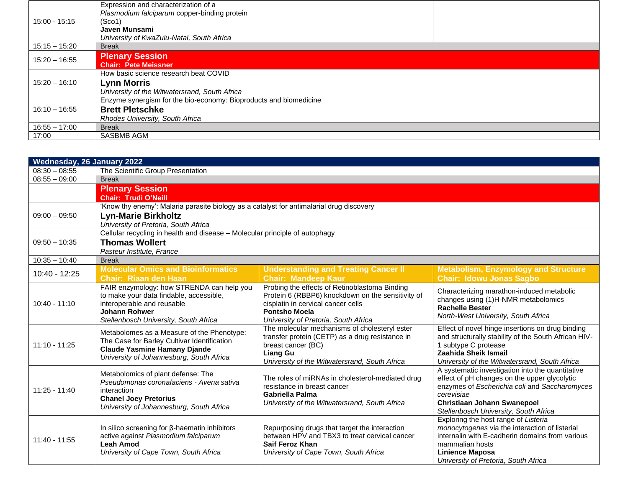|                 | Expression and characterization of a<br>Plasmodium falciparum copper-binding protein |  |  |
|-----------------|--------------------------------------------------------------------------------------|--|--|
| 15:00 - 15:15   | (Sco1)                                                                               |  |  |
|                 | Javen Munsami                                                                        |  |  |
|                 | University of KwaZulu-Natal, South Africa                                            |  |  |
| $15:15 - 15:20$ | <b>Break</b>                                                                         |  |  |
| $15:20 - 16:55$ | <b>Plenary Session</b>                                                               |  |  |
|                 | <b>Chair: Pete Meissner</b>                                                          |  |  |
|                 | How basic science research beat COVID                                                |  |  |
| $15:20 - 16:10$ | <b>Lynn Morris</b>                                                                   |  |  |
|                 | University of the Witwatersrand, South Africa                                        |  |  |
|                 | Enzyme synergism for the bio-economy: Bioproducts and biomedicine                    |  |  |
| $16:10 - 16:55$ | <b>Brett Pletschke</b>                                                               |  |  |
|                 | Rhodes University, South Africa                                                      |  |  |
| $16:55 - 17:00$ | <b>Break</b>                                                                         |  |  |
| 17:00           | <b>SASBMB AGM</b>                                                                    |  |  |

| <b>Wednesday, 26 January 2022</b> |                                                                                                                                                                              |                                                                                                                                                                                            |                                                                                                                                                                                                                                                |  |  |
|-----------------------------------|------------------------------------------------------------------------------------------------------------------------------------------------------------------------------|--------------------------------------------------------------------------------------------------------------------------------------------------------------------------------------------|------------------------------------------------------------------------------------------------------------------------------------------------------------------------------------------------------------------------------------------------|--|--|
| $08:30 - 08:55$                   | The Scientific Group Presentation                                                                                                                                            |                                                                                                                                                                                            |                                                                                                                                                                                                                                                |  |  |
| $08:55 - 09:00$                   | <b>Break</b>                                                                                                                                                                 |                                                                                                                                                                                            |                                                                                                                                                                                                                                                |  |  |
|                                   | <b>Plenary Session</b>                                                                                                                                                       |                                                                                                                                                                                            |                                                                                                                                                                                                                                                |  |  |
|                                   | <b>Chair: Trudi O'Neill</b>                                                                                                                                                  |                                                                                                                                                                                            |                                                                                                                                                                                                                                                |  |  |
|                                   | 'Know thy enemy': Malaria parasite biology as a catalyst for antimalarial drug discovery<br><b>Lyn-Marie Birkholtz</b>                                                       |                                                                                                                                                                                            |                                                                                                                                                                                                                                                |  |  |
| $09:00 - 09:50$                   |                                                                                                                                                                              |                                                                                                                                                                                            |                                                                                                                                                                                                                                                |  |  |
|                                   | University of Pretoria, South Africa                                                                                                                                         |                                                                                                                                                                                            |                                                                                                                                                                                                                                                |  |  |
|                                   | Cellular recycling in health and disease - Molecular principle of autophagy                                                                                                  |                                                                                                                                                                                            |                                                                                                                                                                                                                                                |  |  |
| $09:50 - 10:35$                   | <b>Thomas Wollert</b>                                                                                                                                                        |                                                                                                                                                                                            |                                                                                                                                                                                                                                                |  |  |
|                                   | Pasteur Institute, France                                                                                                                                                    |                                                                                                                                                                                            |                                                                                                                                                                                                                                                |  |  |
| $10:35 - 10:40$                   | <b>Break</b>                                                                                                                                                                 |                                                                                                                                                                                            |                                                                                                                                                                                                                                                |  |  |
| 10:40 - 12:25                     | <b>Molecular Omics and Bioinformatics</b>                                                                                                                                    | <b>Understanding and Treating Cancer II</b>                                                                                                                                                | <b>Metabolism, Enzymology and Structure</b>                                                                                                                                                                                                    |  |  |
|                                   | <b>Chair: Riaan den Haan</b>                                                                                                                                                 | <b>Chair: Mandeep Kaur</b>                                                                                                                                                                 | <b>Chair: Idowu Jonas Sagbo</b>                                                                                                                                                                                                                |  |  |
| $10:40 - 11:10$                   | FAIR enzymology: how STRENDA can help you<br>to make your data findable, accessible,<br>interoperable and reusable                                                           | Probing the effects of Retinoblastoma Binding<br>Protein 6 (RBBP6) knockdown on the sensitivity of<br>cisplatin in cervical cancer cells                                                   | Characterizing marathon-induced metabolic<br>changes using (1)H-NMR metabolomics                                                                                                                                                               |  |  |
|                                   | <b>Johann Rohwer</b><br>Stellenbosch University, South Africa                                                                                                                | <b>Pontsho Moela</b><br>University of Pretoria, South Africa                                                                                                                               | <b>Rachelle Bester</b><br>North-West University, South Africa                                                                                                                                                                                  |  |  |
| $11:10 - 11:25$                   | Metabolomes as a Measure of the Phenotype:<br>The Case for Barley Cultivar Identification<br><b>Claude Yasmine Hamany Djande</b><br>University of Johannesburg, South Africa | The molecular mechanisms of cholesteryl ester<br>transfer protein (CETP) as a drug resistance in<br>breast cancer (BC)<br><b>Liang Gu</b><br>University of the Witwatersrand, South Africa | Effect of novel hinge insertions on drug binding<br>and structurally stability of the South African HIV-<br>1 subtype C protease<br>Zaahida Sheik Ismail<br>University of the Witwatersrand, South Africa                                      |  |  |
| $11:25 - 11:40$                   | Metabolomics of plant defense: The<br>Pseudomonas coronafaciens - Avena sativa<br>interaction<br><b>Chanel Joey Pretorius</b><br>University of Johannesburg, South Africa    | The roles of miRNAs in cholesterol-mediated drug<br>resistance in breast cancer<br>Gabriella Palma<br>University of the Witwatersrand, South Africa                                        | A systematic investigation into the quantitative<br>effect of pH changes on the upper glycolytic<br>enzymes of Escherichia coli and Saccharomyces<br>cerevisiae<br><b>Christiaan Johann Swanepoel</b><br>Stellenbosch University, South Africa |  |  |
| $11:40 - 11:55$                   | In silico screening for $\beta$ -haematin inhibitors<br>active against Plasmodium falciparum<br><b>Leah Amod</b><br>University of Cape Town, South Africa                    | Repurposing drugs that target the interaction<br>between HPV and TBX3 to treat cervical cancer<br><b>Saif Feroz Khan</b><br>University of Cape Town, South Africa                          | Exploring the host range of Listeria<br>monocytogenes via the interaction of listerial<br>internalin with E-cadherin domains from various<br>mammalian hosts<br><b>Linience Maposa</b><br>University of Pretoria, South Africa                 |  |  |